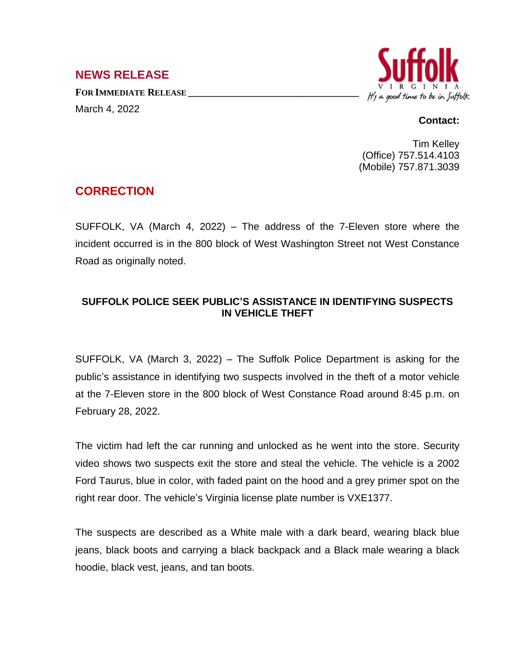## **NEWS RELEASE**

**FOR IMMEDIATE RELEASE \_\_\_\_\_\_\_\_\_\_\_\_\_\_\_\_\_\_\_\_\_\_\_\_\_\_\_\_\_\_\_\_\_\_** March 4, 2022



## **Contact:**

Tim Kelley (Office) 757.514.4103 (Mobile) 757.871.3039

## **CORRECTION**

SUFFOLK, VA (March 4, 2022) – The address of the 7-Eleven store where the incident occurred is in the 800 block of West Washington Street not West Constance Road as originally noted.

## **SUFFOLK POLICE SEEK PUBLIC'S ASSISTANCE IN IDENTIFYING SUSPECTS IN VEHICLE THEFT**

SUFFOLK, VA (March 3, 2022) – The Suffolk Police Department is asking for the public's assistance in identifying two suspects involved in the theft of a motor vehicle at the 7-Eleven store in the 800 block of West Constance Road around 8:45 p.m. on February 28, 2022.

The victim had left the car running and unlocked as he went into the store. Security video shows two suspects exit the store and steal the vehicle. The vehicle is a 2002 Ford Taurus, blue in color, with faded paint on the hood and a grey primer spot on the right rear door. The vehicle's Virginia license plate number is VXE1377.

The suspects are described as a White male with a dark beard, wearing black blue jeans, black boots and carrying a black backpack and a Black male wearing a black hoodie, black vest, jeans, and tan boots.